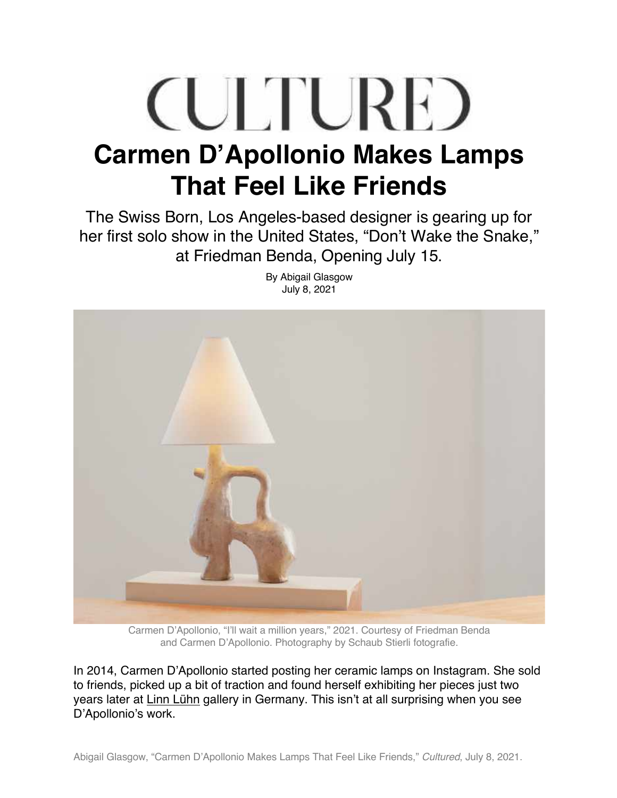## **CULTURE Carmen D'Apollonio Makes Lamps That Feel Like Friends**

The Swiss Born, Los Angeles-based designer is gearing up for her first solo show in the United States, "Don't Wake the Snake," at Friedman Benda, Opening July 15.



By Abigail Glasgow July 8, 2021

Carmen D'Apollonio, "I'll wait a million years," 2021. Courtesy of Friedman Benda and Carmen D'Apollonio. Photography by Schaub Stierli fotografie.

In 2014, Carmen D'Apollonio started posting her ceramic lamps on Instagram. She sold to friends, picked up a bit of traction and found herself exhibiting her pieces just two years later at Linn Lühn gallery in Germany. This isn't at all surprising when you see D'Apollonio's work.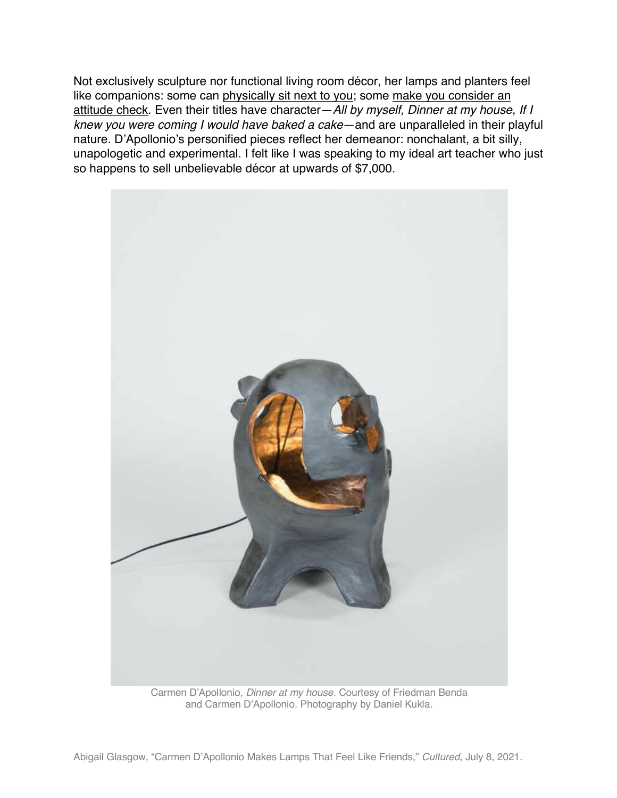Not exclusively sculpture nor functional living room décor, her lamps and planters feel like companions: some can physically sit next to you; some make you consider an attitude check. Even their titles have character—*All by myself, Dinner at my house, If I knew you were coming I would have baked a cake*—and are unparalleled in their playful nature. D'Apollonio's personified pieces reflect her demeanor: nonchalant, a bit silly, unapologetic and experimental. I felt like I was speaking to my ideal art teacher who just so happens to sell unbelievable décor at upwards of \$7,000.



Carmen D'Apollonio, *Dinner at my house*. Courtesy of Friedman Benda and Carmen D'Apollonio. Photography by Daniel Kukla.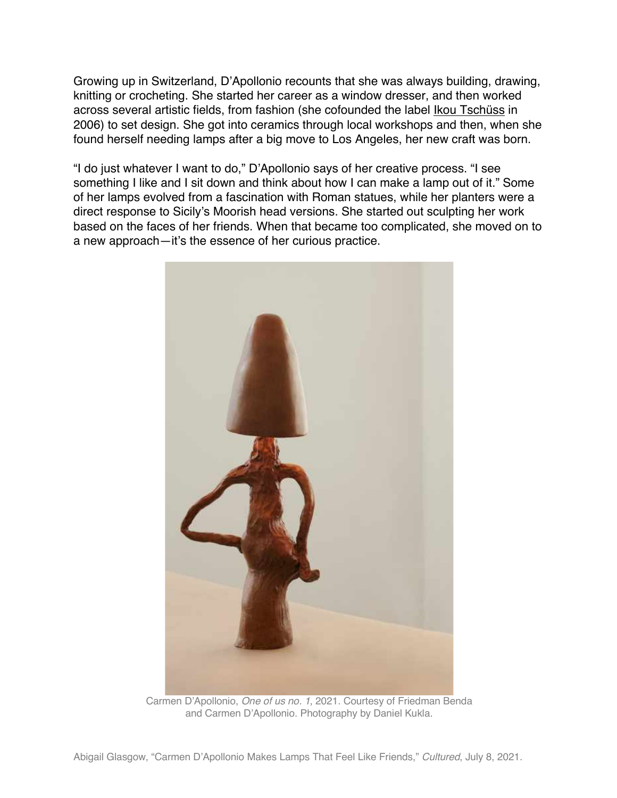Growing up in Switzerland, D'Apollonio recounts that she was always building, drawing, knitting or crocheting. She started her career as a window dresser, and then worked across several artistic fields, from fashion (she cofounded the label Ikou Tschüss in 2006) to set design. She got into ceramics through local workshops and then, when she found herself needing lamps after a big move to Los Angeles, her new craft was born.

"I do just whatever I want to do," D'Apollonio says of her creative process. "I see something I like and I sit down and think about how I can make a lamp out of it." Some of her lamps evolved from a fascination with Roman statues, while her planters were a direct response to Sicily's Moorish head versions. She started out sculpting her work based on the faces of her friends. When that became too complicated, she moved on to a new approach—it's the essence of her curious practice.



Carmen D'Apollonio, *One of us no. 1*, 2021. Courtesy of Friedman Benda and Carmen D'Apollonio. Photography by Daniel Kukla.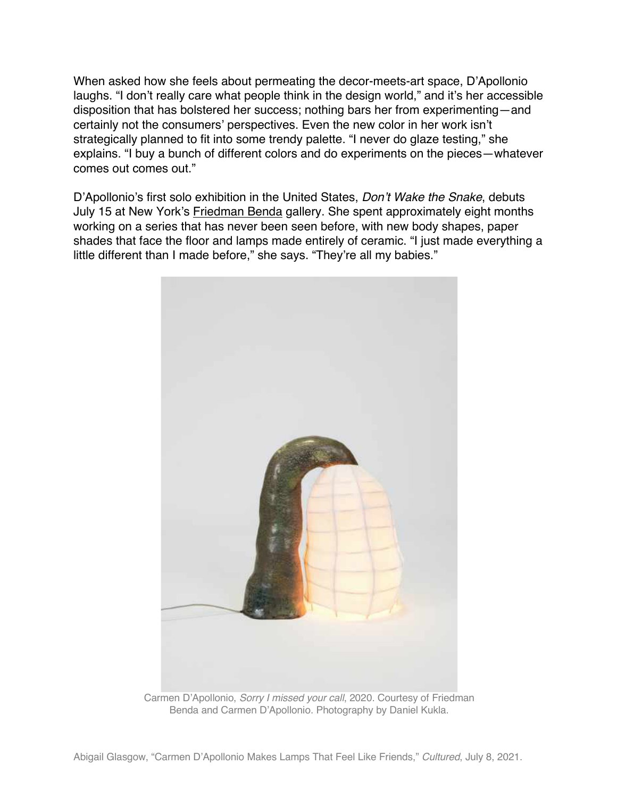When asked how she feels about permeating the decor-meets-art space, D'Apollonio laughs. "I don't really care what people think in the design world," and it's her accessible disposition that has bolstered her success; nothing bars her from experimenting—and certainly not the consumers' perspectives. Even the new color in her work isn't strategically planned to fit into some trendy palette. "I never do glaze testing," she explains. "I buy a bunch of different colors and do experiments on the pieces—whatever comes out comes out."

D'Apollonio's first solo exhibition in the United States, *Don't Wake the Snake*, debuts July 15 at New York's Friedman Benda gallery. She spent approximately eight months working on a series that has never been seen before, with new body shapes, paper shades that face the floor and lamps made entirely of ceramic. "I just made everything a little different than I made before," she says. "They're all my babies."



Carmen D'Apollonio, *Sorry I missed your call*, 2020. Courtesy of Friedman Benda and Carmen D'Apollonio. Photography by Daniel Kukla.